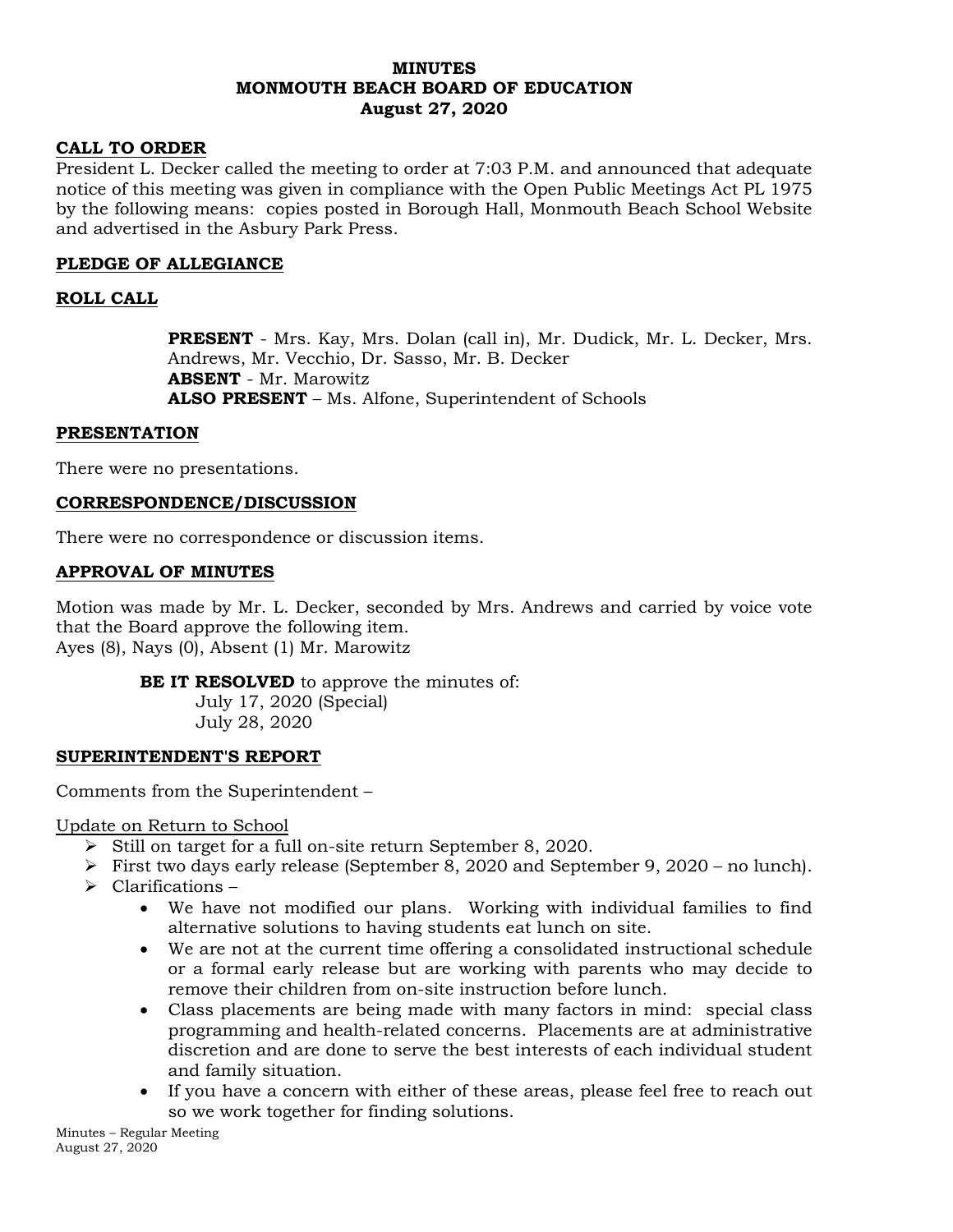### **MINUTES MONMOUTH BEACH BOARD OF EDUCATION August 27, 2020**

### **CALL TO ORDER**

President L. Decker called the meeting to order at 7:03 P.M. and announced that adequate notice of this meeting was given in compliance with the Open Public Meetings Act PL 1975 by the following means: copies posted in Borough Hall, Monmouth Beach School Website and advertised in the Asbury Park Press.

## **PLEDGE OF ALLEGIANCE**

## **ROLL CALL**

**PRESENT** - Mrs. Kay, Mrs. Dolan (call in), Mr. Dudick, Mr. L. Decker, Mrs. Andrews, Mr. Vecchio, Dr. Sasso, Mr. B. Decker **ABSENT** - Mr. Marowitz **ALSO PRESENT** – Ms. Alfone, Superintendent of Schools

### **PRESENTATION**

There were no presentations.

### **CORRESPONDENCE/DISCUSSION**

There were no correspondence or discussion items.

### **APPROVAL OF MINUTES**

Motion was made by Mr. L. Decker, seconded by Mrs. Andrews and carried by voice vote that the Board approve the following item. Ayes (8), Nays (0), Absent (1) Mr. Marowitz

**BE IT RESOLVED** to approve the minutes of:

July 17, 2020 (Special) July 28, 2020

### **SUPERINTENDENT'S REPORT**

Comments from the Superintendent –

Update on Return to School

- $\triangleright$  Still on target for a full on-site return September 8, 2020.
- First two days early release (September 8, 2020 and September 9, 2020 no lunch).
- $\triangleright$  Clarifications
	- We have not modified our plans. Working with individual families to find alternative solutions to having students eat lunch on site.
	- We are not at the current time offering a consolidated instructional schedule or a formal early release but are working with parents who may decide to remove their children from on-site instruction before lunch.
	- Class placements are being made with many factors in mind: special class programming and health-related concerns. Placements are at administrative discretion and are done to serve the best interests of each individual student and family situation.
	- If you have a concern with either of these areas, please feel free to reach out so we work together for finding solutions.

Minutes – Regular Meeting August 27, 2020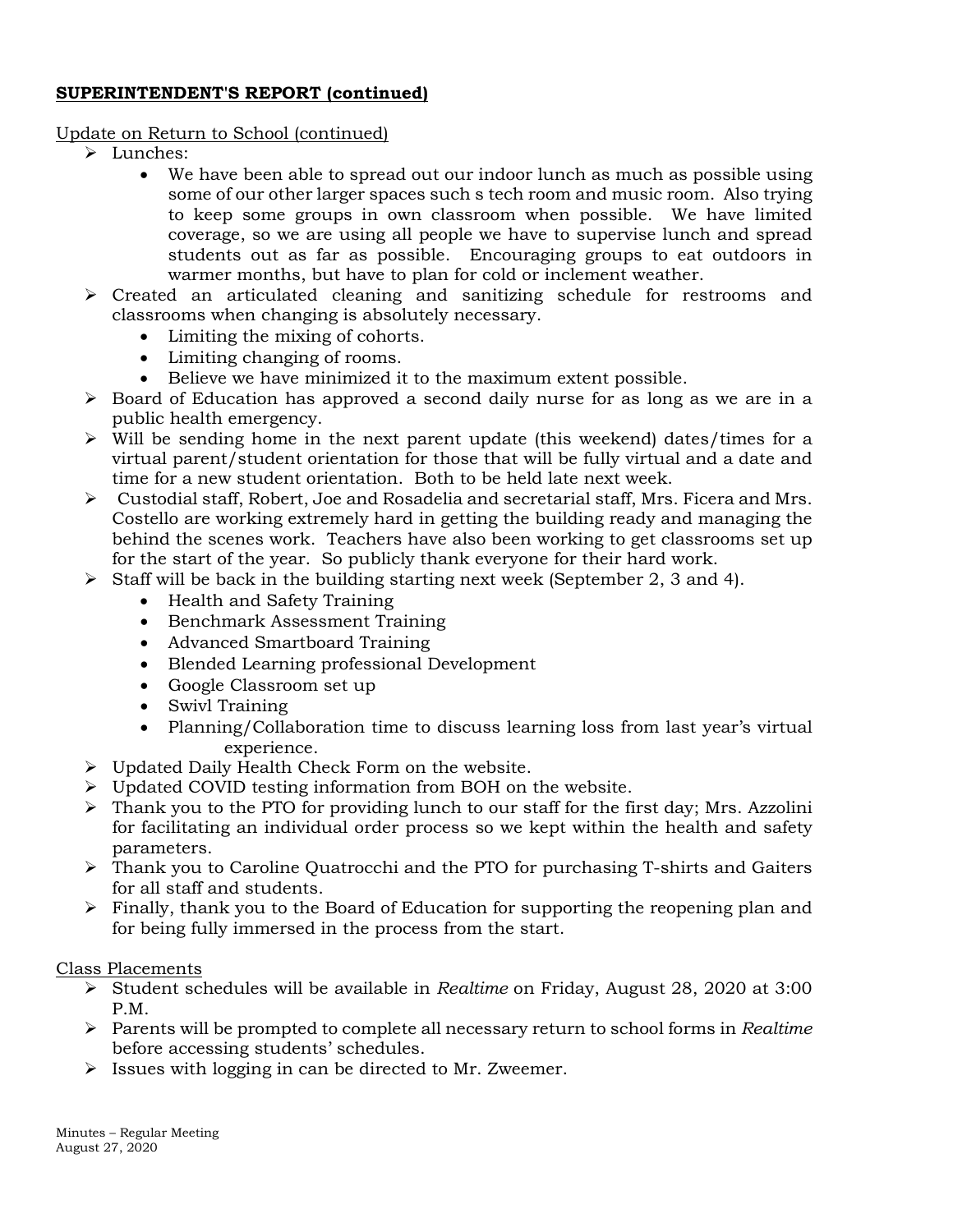# **SUPERINTENDENT'S REPORT (continued)**

# Update on Return to School (continued)

- > Lunches:
	- We have been able to spread out our indoor lunch as much as possible using some of our other larger spaces such s tech room and music room. Also trying to keep some groups in own classroom when possible. We have limited coverage, so we are using all people we have to supervise lunch and spread students out as far as possible. Encouraging groups to eat outdoors in warmer months, but have to plan for cold or inclement weather.
- Created an articulated cleaning and sanitizing schedule for restrooms and classrooms when changing is absolutely necessary.
	- Limiting the mixing of cohorts.
	- Limiting changing of rooms.
	- Believe we have minimized it to the maximum extent possible.
- $\triangleright$  Board of Education has approved a second daily nurse for as long as we are in a public health emergency.
- $\triangleright$  Will be sending home in the next parent update (this weekend) dates/times for a virtual parent/student orientation for those that will be fully virtual and a date and time for a new student orientation. Both to be held late next week.
- $\triangleright$  Custodial staff, Robert, Joe and Rosadelia and secretarial staff, Mrs. Ficera and Mrs. Costello are working extremely hard in getting the building ready and managing the behind the scenes work. Teachers have also been working to get classrooms set up for the start of the year. So publicly thank everyone for their hard work.
- $\triangleright$  Staff will be back in the building starting next week (September 2, 3 and 4).
	- Health and Safety Training
	- Benchmark Assessment Training
	- Advanced Smartboard Training
	- Blended Learning professional Development
	- Google Classroom set up
	- Swivl Training
	- Planning/Collaboration time to discuss learning loss from last year's virtual experience.
- Updated Daily Health Check Form on the website.
- Updated COVID testing information from BOH on the website.
- $\triangleright$  Thank you to the PTO for providing lunch to our staff for the first day; Mrs. Azzolini for facilitating an individual order process so we kept within the health and safety parameters.
- Thank you to Caroline Quatrocchi and the PTO for purchasing T-shirts and Gaiters for all staff and students.
- $\triangleright$  Finally, thank you to the Board of Education for supporting the reopening plan and for being fully immersed in the process from the start.

# Class Placements

- Student schedules will be available in *Realtime* on Friday, August 28, 2020 at 3:00 P.M.
- Parents will be prompted to complete all necessary return to school forms in *Realtime* before accessing students' schedules.
- $\triangleright$  Issues with logging in can be directed to Mr. Zweemer.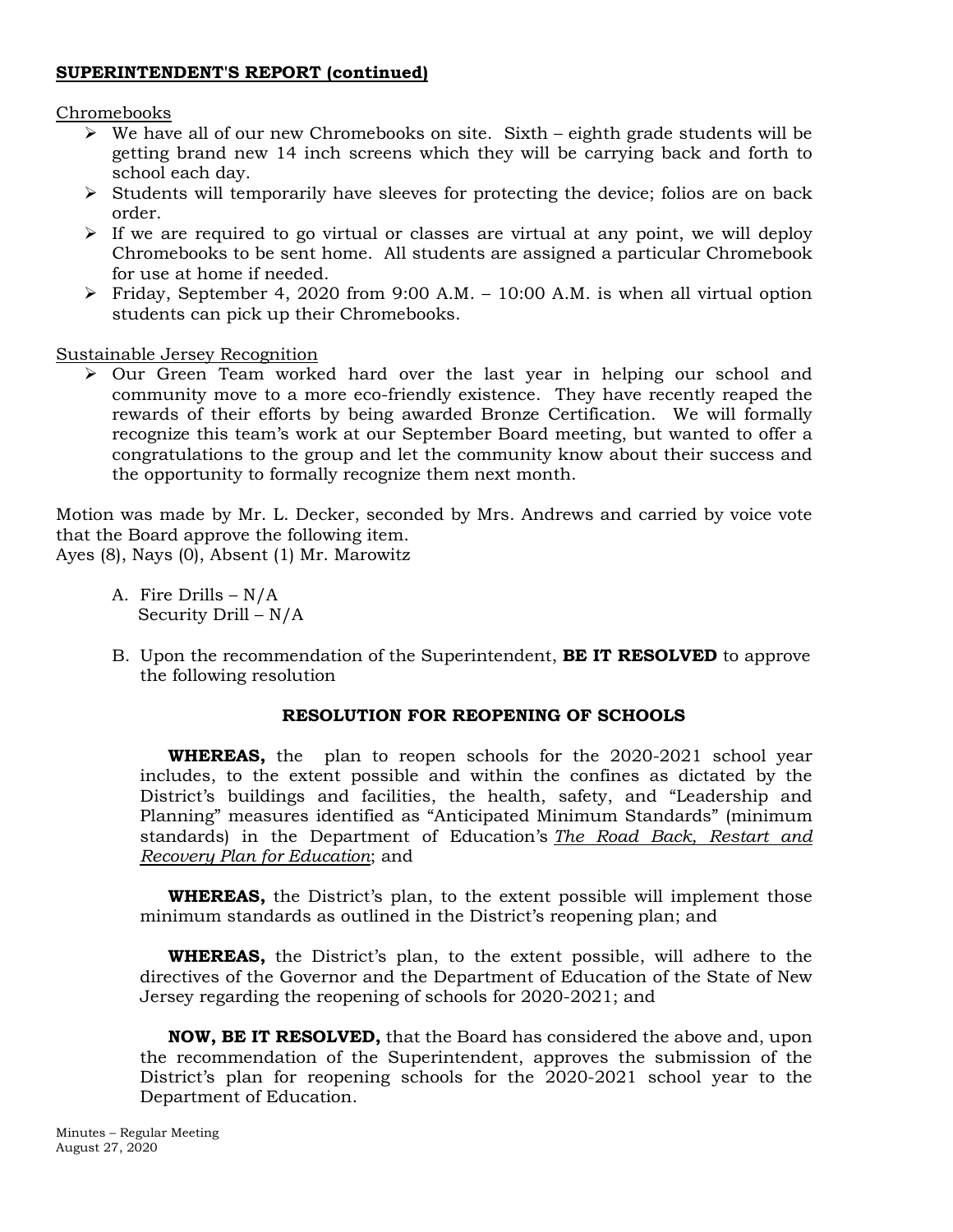## **SUPERINTENDENT'S REPORT (continued)**

### Chromebooks

- $\triangleright$  We have all of our new Chromebooks on site. Sixth eighth grade students will be getting brand new 14 inch screens which they will be carrying back and forth to school each day.
- $\triangleright$  Students will temporarily have sleeves for protecting the device; folios are on back order.
- $\triangleright$  If we are required to go virtual or classes are virtual at any point, we will deploy Chromebooks to be sent home. All students are assigned a particular Chromebook for use at home if needed.
- Friday, September 4, 2020 from 9:00 A.M. 10:00 A.M. is when all virtual option students can pick up their Chromebooks.

Sustainable Jersey Recognition

 Our Green Team worked hard over the last year in helping our school and community move to a more eco-friendly existence. They have recently reaped the rewards of their efforts by being awarded Bronze Certification. We will formally recognize this team's work at our September Board meeting, but wanted to offer a congratulations to the group and let the community know about their success and the opportunity to formally recognize them next month.

Motion was made by Mr. L. Decker, seconded by Mrs. Andrews and carried by voice vote that the Board approve the following item. Ayes (8), Nays (0), Absent (1) Mr. Marowitz

- A. Fire Drills N/A Security Drill – N/A
- B. Upon the recommendation of the Superintendent, **BE IT RESOLVED** to approve the following resolution

# **RESOLUTION FOR REOPENING OF SCHOOLS**

**WHEREAS,** the plan to reopen schools for the 2020-2021 school year includes, to the extent possible and within the confines as dictated by the District's buildings and facilities, the health, safety, and "Leadership and Planning" measures identified as "Anticipated Minimum Standards" (minimum standards) in the Department of Education's *[The Road Back, Restart and](https://www.nj.gov/education/reopening/NJDOETheRoadBack.pdf)  [Recovery Plan for Education](https://www.nj.gov/education/reopening/NJDOETheRoadBack.pdf)*; and

**WHEREAS,** the District's plan, to the extent possible will implement those minimum standards as outlined in the District's reopening plan; and

**WHEREAS,** the District's plan, to the extent possible, will adhere to the directives of the Governor and the Department of Education of the State of New Jersey regarding the reopening of schools for 2020-2021; and

**NOW, BE IT RESOLVED,** that the Board has considered the above and, upon the recommendation of the Superintendent, approves the submission of the District's plan for reopening schools for the 2020-2021 school year to the Department of Education.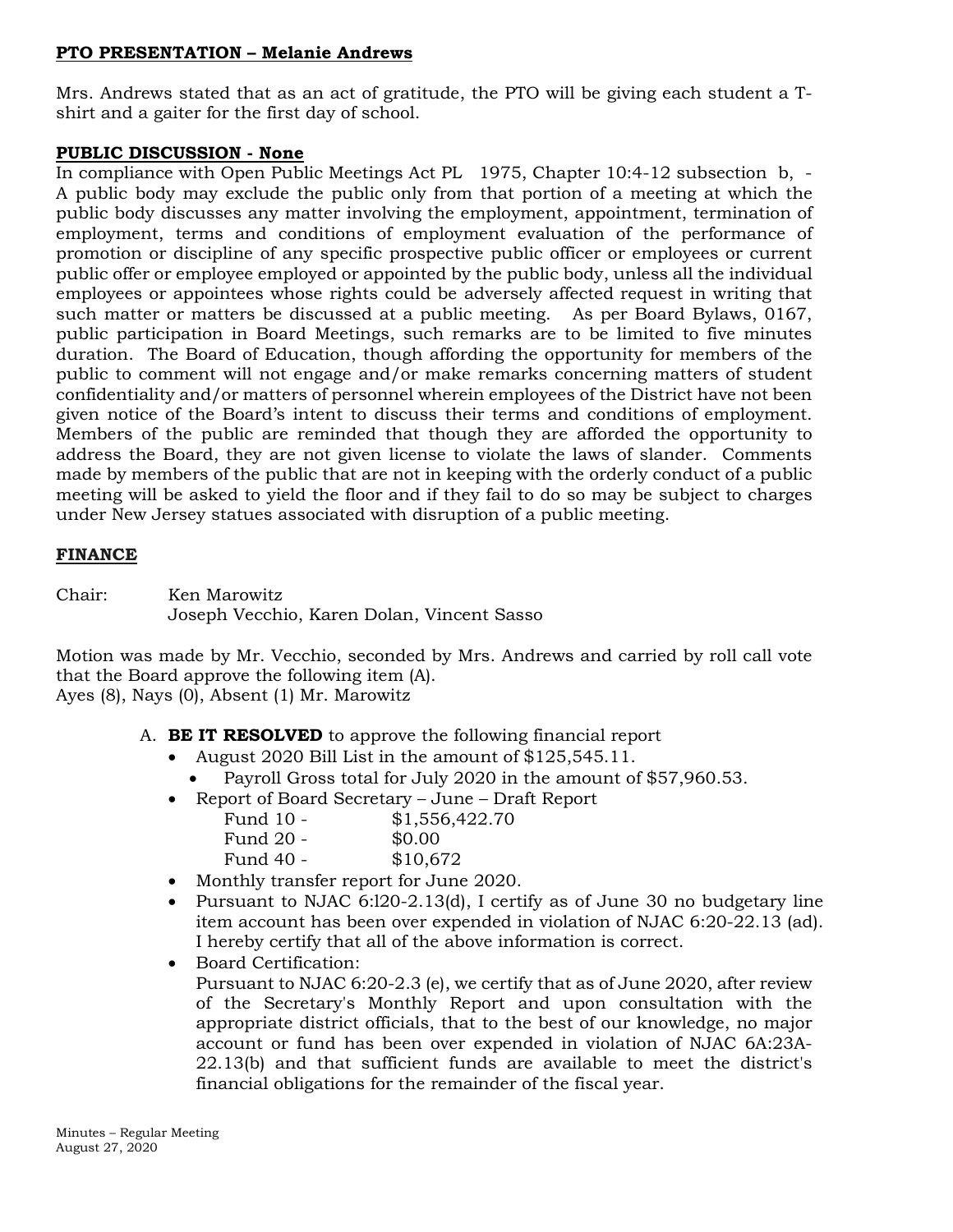# **PTO PRESENTATION – Melanie Andrews**

Mrs. Andrews stated that as an act of gratitude, the PTO will be giving each student a Tshirt and a gaiter for the first day of school.

# **PUBLIC DISCUSSION - None**

In compliance with Open Public Meetings Act PL 1975, Chapter 10:4-12 subsection b, - A public body may exclude the public only from that portion of a meeting at which the public body discusses any matter involving the employment, appointment, termination of employment, terms and conditions of employment evaluation of the performance of promotion or discipline of any specific prospective public officer or employees or current public offer or employee employed or appointed by the public body, unless all the individual employees or appointees whose rights could be adversely affected request in writing that such matter or matters be discussed at a public meeting. As per Board Bylaws, 0167, public participation in Board Meetings, such remarks are to be limited to five minutes duration. The Board of Education, though affording the opportunity for members of the public to comment will not engage and/or make remarks concerning matters of student confidentiality and/or matters of personnel wherein employees of the District have not been given notice of the Board's intent to discuss their terms and conditions of employment. Members of the public are reminded that though they are afforded the opportunity to address the Board, they are not given license to violate the laws of slander. Comments made by members of the public that are not in keeping with the orderly conduct of a public meeting will be asked to yield the floor and if they fail to do so may be subject to charges under New Jersey statues associated with disruption of a public meeting.

# **FINANCE**

Chair: Ken Marowitz Joseph Vecchio, Karen Dolan, Vincent Sasso

Motion was made by Mr. Vecchio, seconded by Mrs. Andrews and carried by roll call vote that the Board approve the following item (A). Ayes (8), Nays (0), Absent (1) Mr. Marowitz

- A. **BE IT RESOLVED** to approve the following financial report
	- August 2020 Bill List in the amount of \$125,545.11.
		- Payroll Gross total for July 2020 in the amount of \$57,960.53.
	- Report of Board Secretary June Draft Report

| Fund 10 - | \$1,556,422.70 |
|-----------|----------------|
| Fund 20 - | \$0.00         |
| Fund 40 - | \$10,672       |

- Monthly transfer report for June 2020.
- Pursuant to NJAC 6:120-2.13(d), I certify as of June 30 no budgetary line item account has been over expended in violation of NJAC 6:20-22.13 (ad). I hereby certify that all of the above information is correct.
- Board Certification: Pursuant to NJAC 6:20-2.3 (e), we certify that as of June 2020, after review of the Secretary's Monthly Report and upon consultation with the appropriate district officials, that to the best of our knowledge, no major account or fund has been over expended in violation of NJAC 6A:23A-22.13(b) and that sufficient funds are available to meet the district's financial obligations for the remainder of the fiscal year.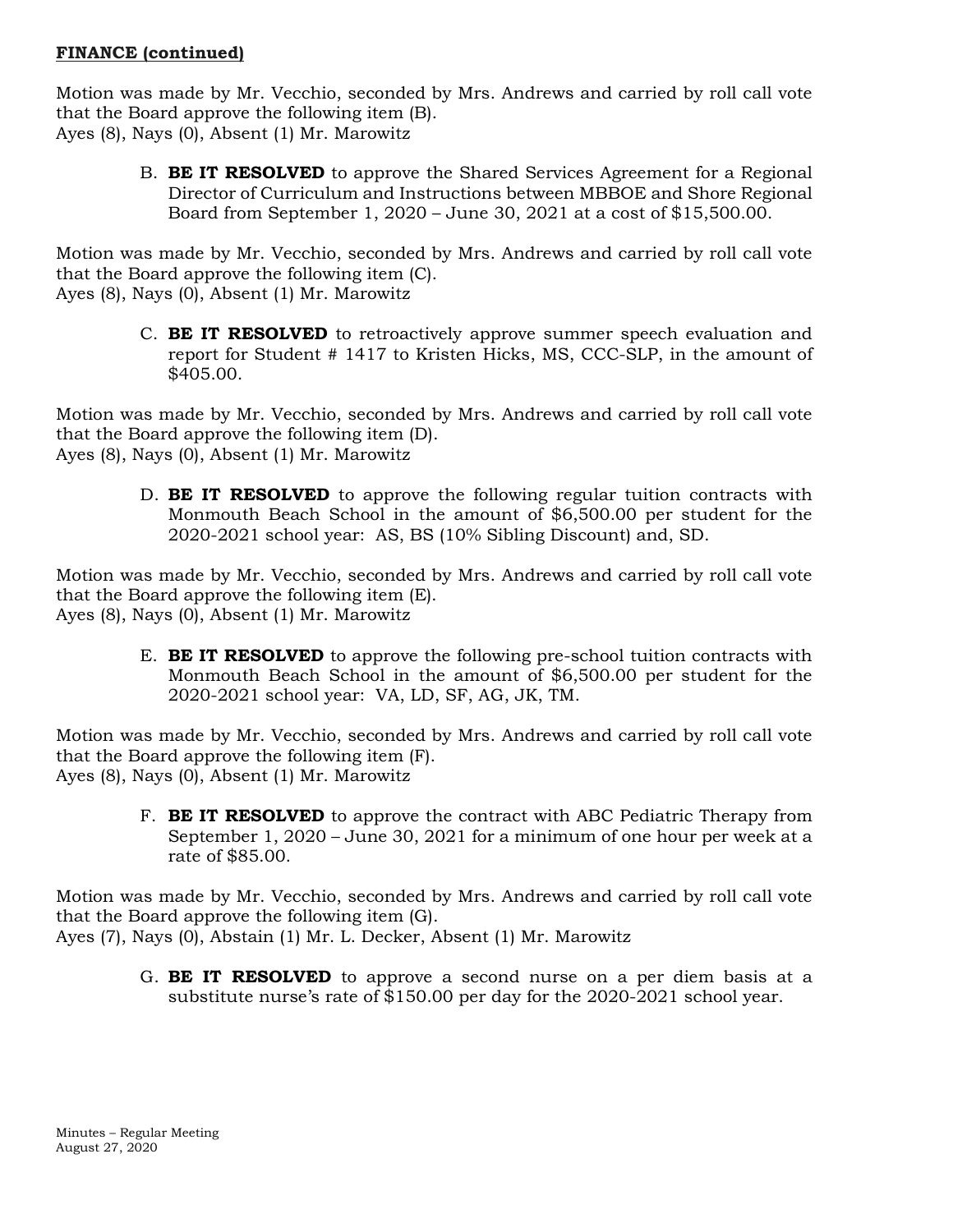# **FINANCE (continued)**

Motion was made by Mr. Vecchio, seconded by Mrs. Andrews and carried by roll call vote that the Board approve the following item (B). Ayes (8), Nays (0), Absent (1) Mr. Marowitz

> B. **BE IT RESOLVED** to approve the Shared Services Agreement for a Regional Director of Curriculum and Instructions between MBBOE and Shore Regional Board from September 1, 2020 – June 30, 2021 at a cost of \$15,500.00.

Motion was made by Mr. Vecchio, seconded by Mrs. Andrews and carried by roll call vote that the Board approve the following item (C). Ayes (8), Nays (0), Absent (1) Mr. Marowitz

C. **BE IT RESOLVED** to retroactively approve summer speech evaluation and report for Student # 1417 to Kristen Hicks, MS, CCC-SLP, in the amount of \$405.00.

Motion was made by Mr. Vecchio, seconded by Mrs. Andrews and carried by roll call vote that the Board approve the following item (D). Ayes (8), Nays (0), Absent (1) Mr. Marowitz

> D. **BE IT RESOLVED** to approve the following regular tuition contracts with Monmouth Beach School in the amount of \$6,500.00 per student for the 2020-2021 school year: AS, BS (10% Sibling Discount) and, SD.

Motion was made by Mr. Vecchio, seconded by Mrs. Andrews and carried by roll call vote that the Board approve the following item (E). Ayes (8), Nays (0), Absent (1) Mr. Marowitz

> E. **BE IT RESOLVED** to approve the following pre-school tuition contracts with Monmouth Beach School in the amount of \$6,500.00 per student for the 2020-2021 school year: VA, LD, SF, AG, JK, TM.

Motion was made by Mr. Vecchio, seconded by Mrs. Andrews and carried by roll call vote that the Board approve the following item (F). Ayes (8), Nays (0), Absent (1) Mr. Marowitz

> F. **BE IT RESOLVED** to approve the contract with ABC Pediatric Therapy from September 1, 2020 – June 30, 2021 for a minimum of one hour per week at a rate of \$85.00.

Motion was made by Mr. Vecchio, seconded by Mrs. Andrews and carried by roll call vote that the Board approve the following item (G).

- Ayes (7), Nays (0), Abstain (1) Mr. L. Decker, Absent (1) Mr. Marowitz
	- G. **BE IT RESOLVED** to approve a second nurse on a per diem basis at a substitute nurse's rate of \$150.00 per day for the 2020-2021 school year.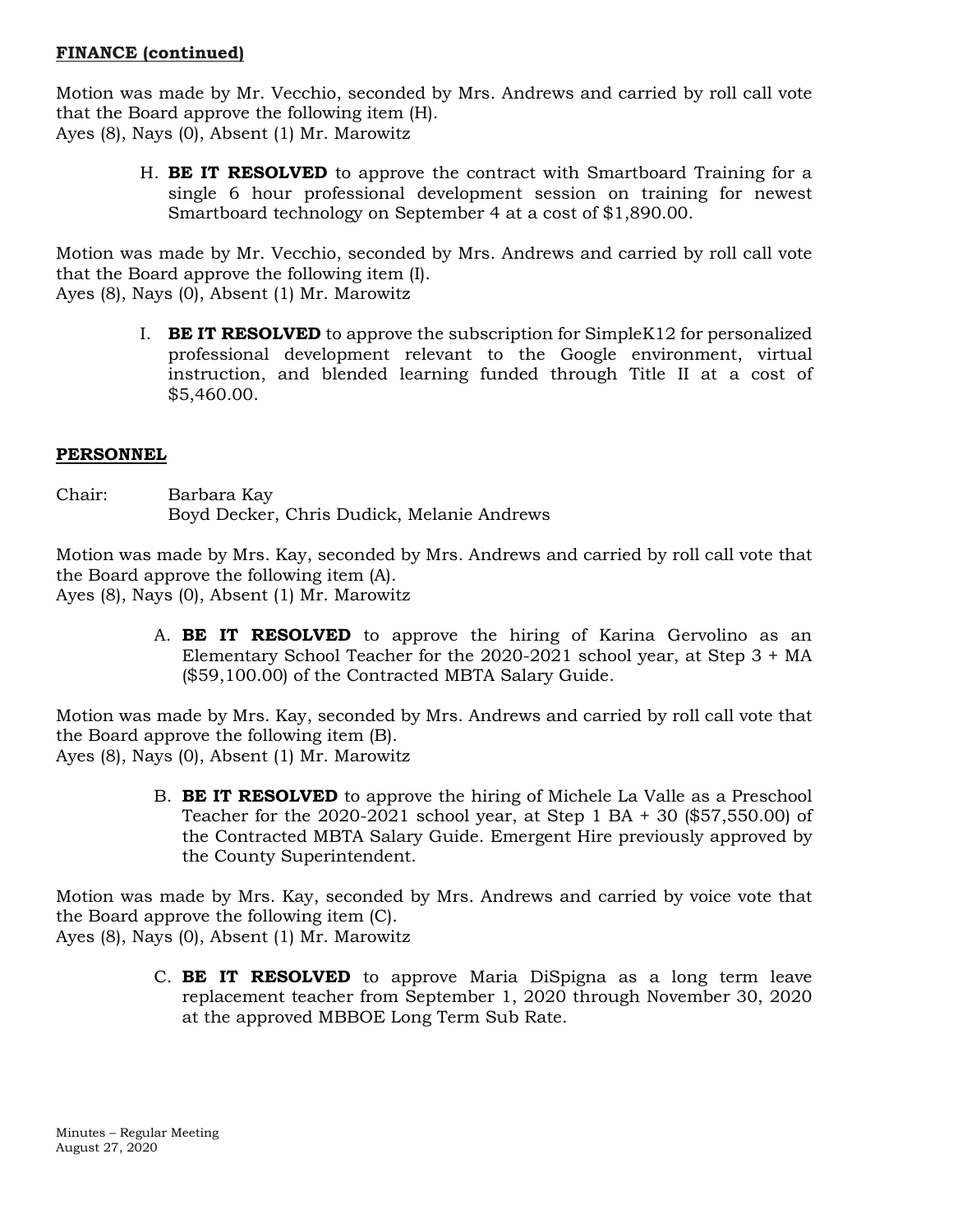# **FINANCE (continued)**

Motion was made by Mr. Vecchio, seconded by Mrs. Andrews and carried by roll call vote that the Board approve the following item (H). Ayes (8), Nays (0), Absent (1) Mr. Marowitz

> H. **BE IT RESOLVED** to approve the contract with Smartboard Training for a single 6 hour professional development session on training for newest Smartboard technology on September 4 at a cost of \$1,890.00.

Motion was made by Mr. Vecchio, seconded by Mrs. Andrews and carried by roll call vote that the Board approve the following item (I). Ayes (8), Nays (0), Absent (1) Mr. Marowitz

I. **BE IT RESOLVED** to approve the subscription for SimpleK12 for personalized professional development relevant to the Google environment, virtual instruction, and blended learning funded through Title II at a cost of \$5,460.00.

### **PERSONNEL**

Chair: Barbara Kay Boyd Decker, Chris Dudick, Melanie Andrews

Motion was made by Mrs. Kay, seconded by Mrs. Andrews and carried by roll call vote that the Board approve the following item (A).

Ayes (8), Nays (0), Absent (1) Mr. Marowitz

A. **BE IT RESOLVED** to approve the hiring of Karina Gervolino as an Elementary School Teacher for the 2020-2021 school year, at Step 3 + MA (\$59,100.00) of the Contracted MBTA Salary Guide.

Motion was made by Mrs. Kay, seconded by Mrs. Andrews and carried by roll call vote that the Board approve the following item (B). Ayes (8), Nays (0), Absent (1) Mr. Marowitz

> B. **BE IT RESOLVED** to approve the hiring of Michele La Valle as a Preschool Teacher for the 2020-2021 school year, at Step 1 BA + 30 (\$57,550.00) of the Contracted MBTA Salary Guide. Emergent Hire previously approved by the County Superintendent.

Motion was made by Mrs. Kay, seconded by Mrs. Andrews and carried by voice vote that the Board approve the following item (C).

Ayes (8), Nays (0), Absent (1) Mr. Marowitz

C. **BE IT RESOLVED** to approve Maria DiSpigna as a long term leave replacement teacher from September 1, 2020 through November 30, 2020 at the approved MBBOE Long Term Sub Rate.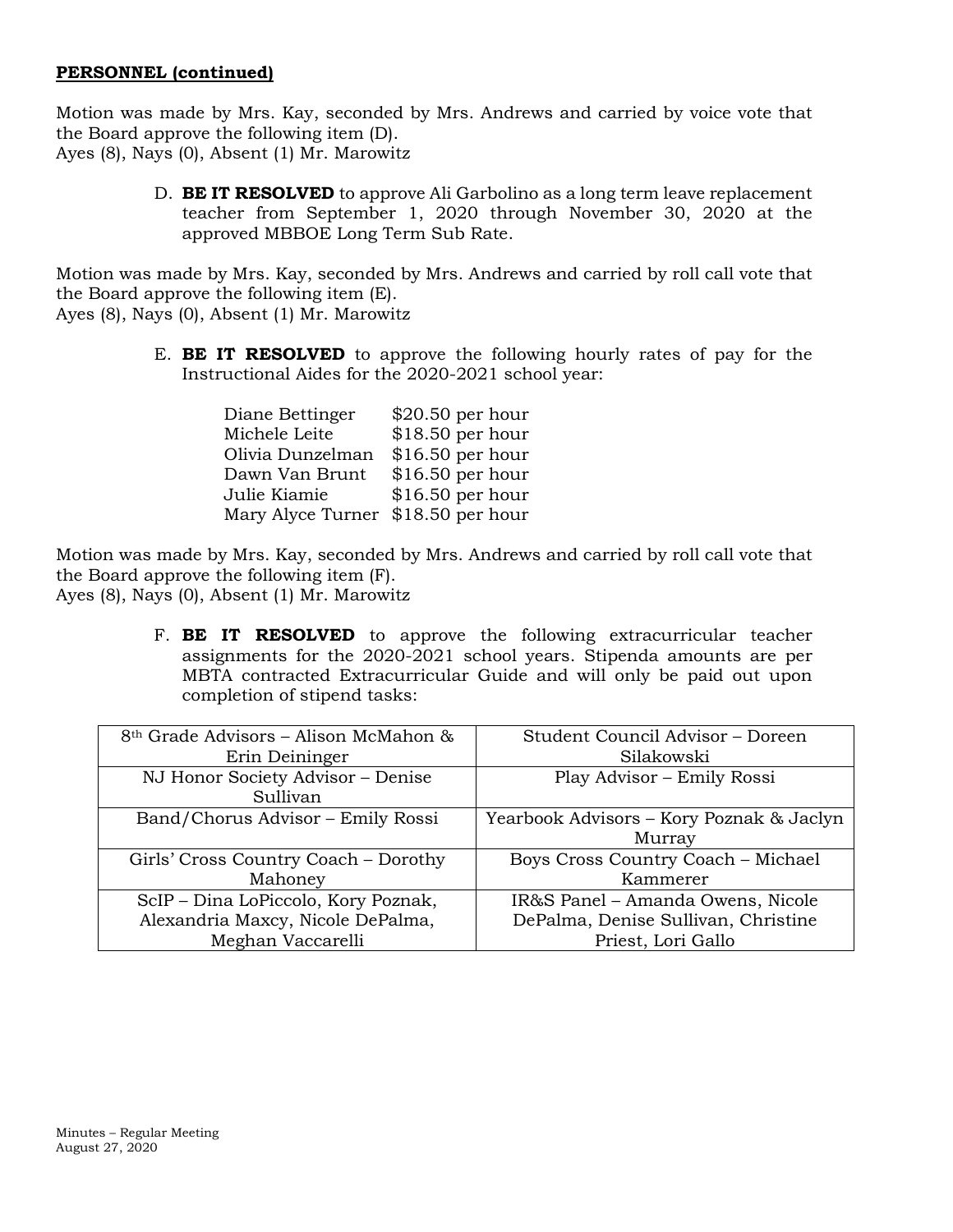# **PERSONNEL (continued)**

Motion was made by Mrs. Kay, seconded by Mrs. Andrews and carried by voice vote that the Board approve the following item (D). Ayes (8), Nays (0), Absent (1) Mr. Marowitz

> D. **BE IT RESOLVED** to approve Ali Garbolino as a long term leave replacement teacher from September 1, 2020 through November 30, 2020 at the approved MBBOE Long Term Sub Rate.

Motion was made by Mrs. Kay, seconded by Mrs. Andrews and carried by roll call vote that the Board approve the following item (E). Ayes (8), Nays (0), Absent (1) Mr. Marowitz

> E. **BE IT RESOLVED** to approve the following hourly rates of pay for the Instructional Aides for the 2020-2021 school year:

| Diane Bettinger   | \$20.50 per hour  |
|-------------------|-------------------|
| Michele Leite     | \$18.50 per hour  |
| Olivia Dunzelman  | $$16.50$ per hour |
| Dawn Van Brunt    | $$16.50$ per hour |
| Julie Kiamie      | \$16.50 per hour  |
| Mary Alyce Turner | $$18.50$ per hour |

Motion was made by Mrs. Kay, seconded by Mrs. Andrews and carried by roll call vote that the Board approve the following item (F). Ayes (8), Nays (0), Absent (1) Mr. Marowitz

> F. **BE IT RESOLVED** to approve the following extracurricular teacher assignments for the 2020-2021 school years. Stipenda amounts are per MBTA contracted Extracurricular Guide and will only be paid out upon completion of stipend tasks:

| 8th Grade Advisors – Alison McMahon & | Student Council Advisor – Doreen          |  |  |
|---------------------------------------|-------------------------------------------|--|--|
| Erin Deininger                        | Silakowski                                |  |  |
| NJ Honor Society Advisor - Denise     | Play Advisor - Emily Rossi                |  |  |
| Sullivan                              |                                           |  |  |
| Band/Chorus Advisor - Emily Rossi     | Yearbook Advisors - Kory Poznak & Jaclyn  |  |  |
|                                       | Murray                                    |  |  |
| Girls' Cross Country Coach - Dorothy  | <b>Boys Cross Country Coach - Michael</b> |  |  |
| Mahoney                               | Kammerer                                  |  |  |
| ScIP - Dina LoPiccolo, Kory Poznak,   | IR&S Panel - Amanda Owens, Nicole         |  |  |
| Alexandria Maxcy, Nicole DePalma,     | DePalma, Denise Sullivan, Christine       |  |  |
| Meghan Vaccarelli                     | Priest, Lori Gallo                        |  |  |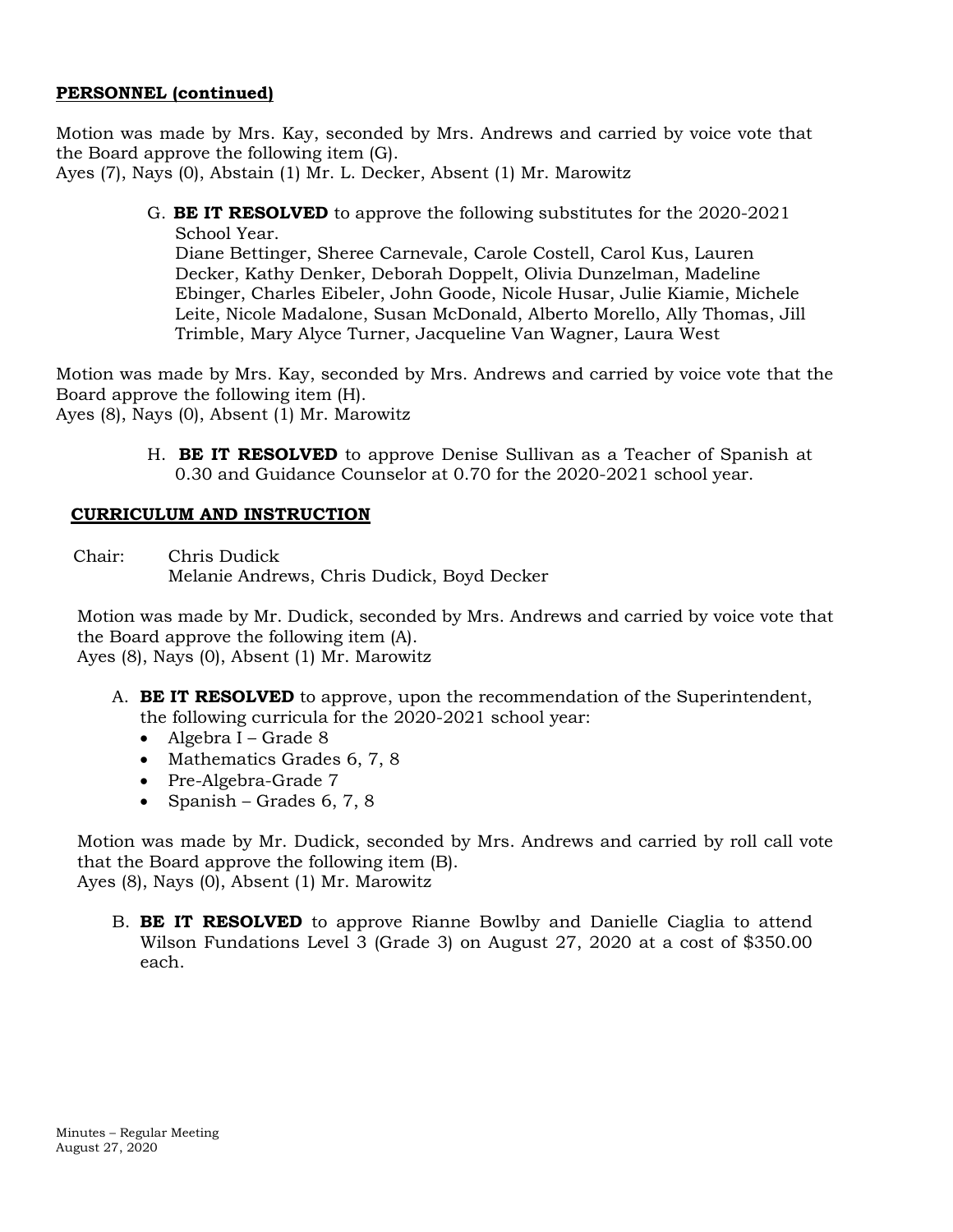# **PERSONNEL (continued)**

Motion was made by Mrs. Kay, seconded by Mrs. Andrews and carried by voice vote that the Board approve the following item (G).

Ayes (7), Nays (0), Abstain (1) Mr. L. Decker, Absent (1) Mr. Marowitz

G. **BE IT RESOLVED** to approve the following substitutes for the 2020-2021 School Year.

Diane Bettinger, Sheree Carnevale, Carole Costell, Carol Kus, Lauren Decker, Kathy Denker, Deborah Doppelt, Olivia Dunzelman, Madeline Ebinger, Charles Eibeler, John Goode, Nicole Husar, Julie Kiamie, Michele Leite, Nicole Madalone, Susan McDonald, Alberto Morello, Ally Thomas, Jill Trimble, Mary Alyce Turner, Jacqueline Van Wagner, Laura West

Motion was made by Mrs. Kay, seconded by Mrs. Andrews and carried by voice vote that the Board approve the following item (H). Ayes (8), Nays (0), Absent (1) Mr. Marowitz

> H. **BE IT RESOLVED** to approve Denise Sullivan as a Teacher of Spanish at 0.30 and Guidance Counselor at 0.70 for the 2020-2021 school year.

## **CURRICULUM AND INSTRUCTION**

Chair: Chris Dudick Melanie Andrews, Chris Dudick, Boyd Decker

Motion was made by Mr. Dudick, seconded by Mrs. Andrews and carried by voice vote that the Board approve the following item (A). Ayes (8), Nays (0), Absent (1) Mr. Marowitz

- A. **BE IT RESOLVED** to approve, upon the recommendation of the Superintendent, the following curricula for the 2020-2021 school year:
	- Algebra I Grade 8
	- Mathematics Grades 6, 7, 8
	- Pre-Algebra-Grade 7
	- Spanish Grades 6, 7, 8

Motion was made by Mr. Dudick, seconded by Mrs. Andrews and carried by roll call vote that the Board approve the following item (B). Ayes (8), Nays (0), Absent (1) Mr. Marowitz

B. **BE IT RESOLVED** to approve Rianne Bowlby and Danielle Ciaglia to attend Wilson Fundations Level 3 (Grade 3) on August 27, 2020 at a cost of \$350.00 each.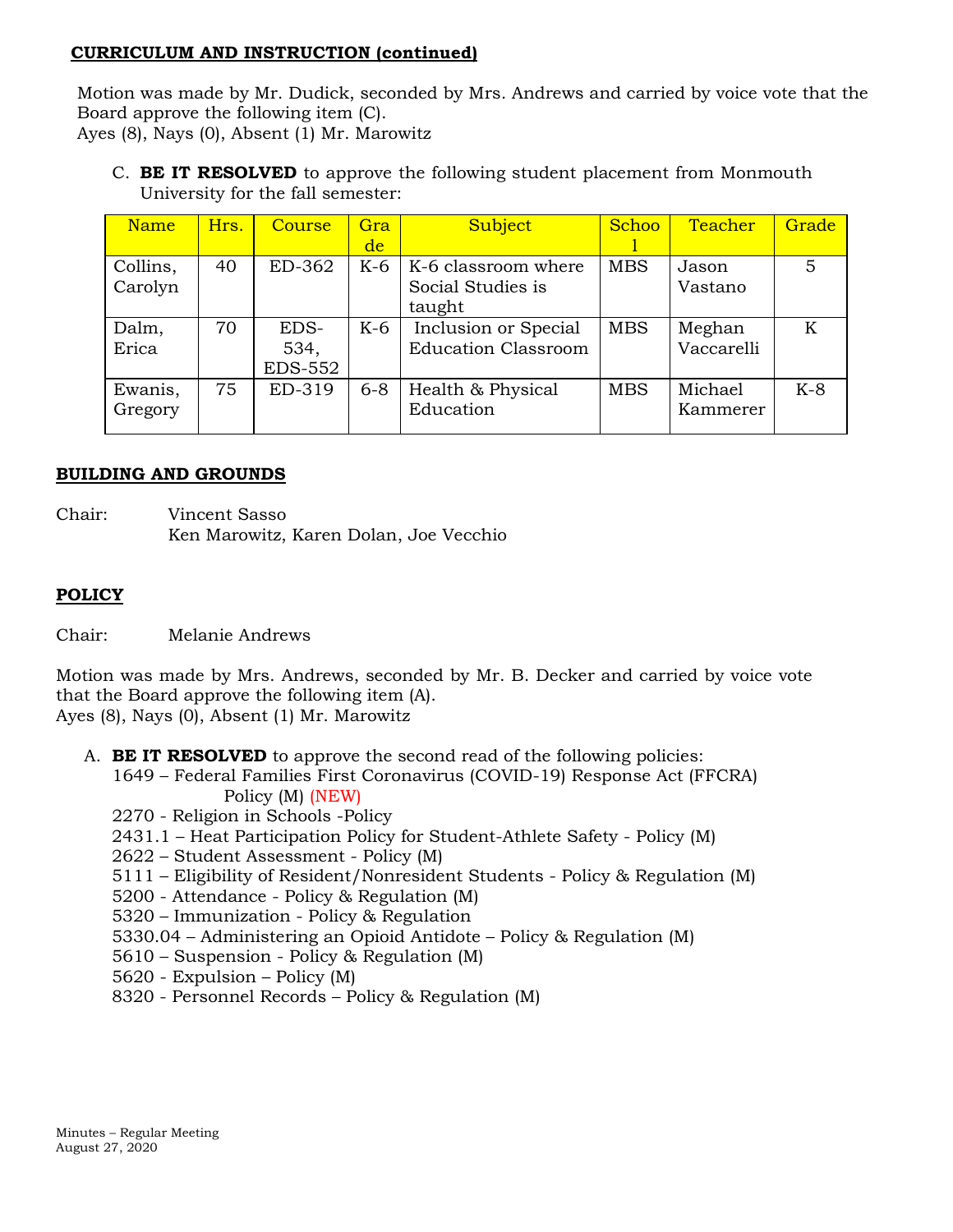## **CURRICULUM AND INSTRUCTION (continued)**

Motion was made by Mr. Dudick, seconded by Mrs. Andrews and carried by voice vote that the Board approve the following item (C). Ayes (8), Nays (0), Absent (1) Mr. Marowitz

C. **BE IT RESOLVED** to approve the following student placement from Monmouth University for the fall semester:

| <b>Name</b> | Hrs. | Course         | Gra     | Subject                    | Schoo      | Teacher    | Grade |
|-------------|------|----------------|---------|----------------------------|------------|------------|-------|
|             |      |                | de      |                            |            |            |       |
| Collins,    | 40   | ED-362         | $K-6$   | K-6 classroom where        | <b>MBS</b> | Jason      | 5     |
| Carolyn     |      |                |         | Social Studies is          |            | Vastano    |       |
|             |      |                |         | taught                     |            |            |       |
| Dalm,       | 70   | EDS-           | $K-6$   | Inclusion or Special       | <b>MBS</b> | Meghan     | K     |
| Erica       |      | 534,           |         | <b>Education Classroom</b> |            | Vaccarelli |       |
|             |      | <b>EDS-552</b> |         |                            |            |            |       |
| Ewanis,     | 75   | ED-319         | $6 - 8$ | Health & Physical          | <b>MBS</b> | Michael    | $K-8$ |
| Gregory     |      |                |         | Education                  |            | Kammerer   |       |
|             |      |                |         |                            |            |            |       |

# **BUILDING AND GROUNDS**

Chair: Vincent Sasso Ken Marowitz, Karen Dolan, Joe Vecchio

# **POLICY**

Chair: Melanie Andrews

Motion was made by Mrs. Andrews, seconded by Mr. B. Decker and carried by voice vote that the Board approve the following item (A). Ayes (8), Nays (0), Absent (1) Mr. Marowitz

- A. **BE IT RESOLVED** to approve the second read of the following policies:
	- 1649 Federal Families First Coronavirus (COVID-19) Response Act (FFCRA) Policy (M) (NEW)
	- 2270 Religion in Schools -Policy
	- 2431.1 Heat Participation Policy for Student-Athlete Safety Policy (M)
	- 2622 Student Assessment Policy (M)
	- 5111 Eligibility of Resident/Nonresident Students Policy & Regulation (M)
	- 5200 Attendance Policy & Regulation (M)
	- 5320 Immunization Policy & Regulation
	- 5330.04 Administering an Opioid Antidote Policy & Regulation (M)
	- 5610 Suspension Policy & Regulation (M)
	- 5620 Expulsion Policy (M)
	- 8320 Personnel Records Policy & Regulation (M)